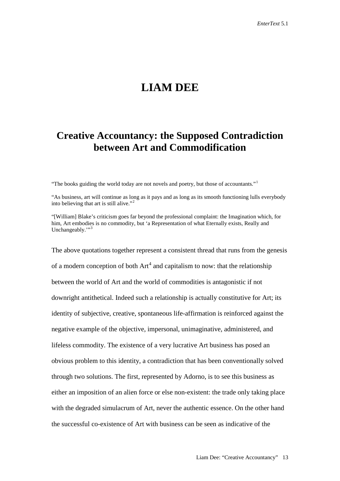# **LIAM DEE**

# **Creative Accountancy: the Supposed Contradiction between Art and Commodification**

"The books guiding the world today are not novels and poetry, but those of accountants."[1](#page-20-0)

"As business, art will continue as long as it pays and as long as its smooth functioning lulls everybody into believing that art is still alive."[2](#page-20-1)

"[William] Blake's criticism goes far beyond the professional complaint: the Imagination which, for him, Art embodies is no commodity, but 'a Representation of what Eternally exists, Really and Unchangeably."<sup>[3](#page-20-2)</sup>

The above quotations together represent a consistent thread that runs from the genesis of a modern conception of both  $Art<sup>4</sup>$  $Art<sup>4</sup>$  $Art<sup>4</sup>$  and capitalism to now: that the relationship between the world of Art and the world of commodities is antagonistic if not downright antithetical. Indeed such a relationship is actually constitutive for Art; its identity of subjective, creative, spontaneous life-affirmation is reinforced against the negative example of the objective, impersonal, unimaginative, administered, and lifeless commodity. The existence of a very lucrative Art business has posed an obvious problem to this identity, a contradiction that has been conventionally solved through two solutions. The first, represented by Adorno, is to see this business as either an imposition of an alien force or else non-existent: the trade only taking place with the degraded simulacrum of Art, never the authentic essence. On the other hand the successful co-existence of Art with business can be seen as indicative of the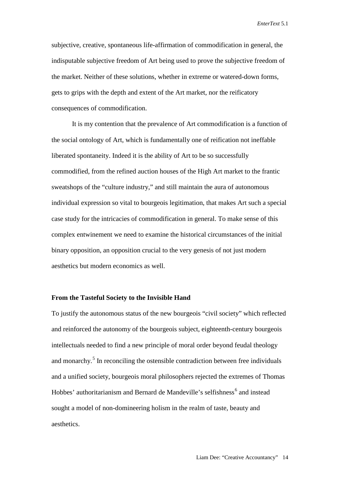subjective, creative, spontaneous life-affirmation of commodification in general, the indisputable subjective freedom of Art being used to prove the subjective freedom of the market. Neither of these solutions, whether in extreme or watered-down forms, gets to grips with the depth and extent of the Art market, nor the reificatory consequences of commodification.

It is my contention that the prevalence of Art commodification is a function of the social ontology of Art, which is fundamentally one of reification not ineffable liberated spontaneity. Indeed it is the ability of Art to be so successfully commodified, from the refined auction houses of the High Art market to the frantic sweatshops of the "culture industry," and still maintain the aura of autonomous individual expression so vital to bourgeois legitimation, that makes Art such a special case study for the intricacies of commodification in general. To make sense of this complex entwinement we need to examine the historical circumstances of the initial binary opposition, an opposition crucial to the very genesis of not just modern aesthetics but modern economics as well.

#### **From the Tasteful Society to the Invisible Hand**

To justify the autonomous status of the new bourgeois "civil society" which reflected and reinforced the autonomy of the bourgeois subject, eighteenth-century bourgeois intellectuals needed to find a new principle of moral order beyond feudal theology and monarchy.<sup>[5](#page-20-4)</sup> In reconciling the ostensible contradiction between free individuals and a unified society, bourgeois moral philosophers rejected the extremes of Thomas Hobbes' authoritarianism and Bernard de Mandeville's selfishness<sup>[6](#page-20-5)</sup> and instead sought a model of non-domineering holism in the realm of taste, beauty and aesthetics.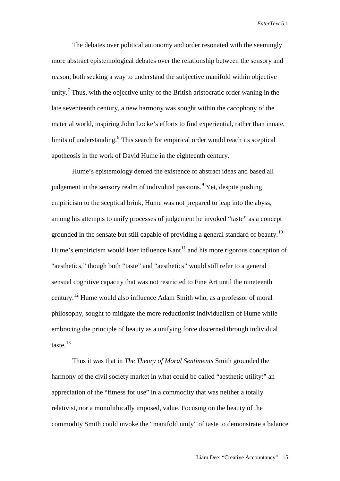The debates over political autonomy and order resonated with the seemingly more abstract epistemological debates over the relationship between the sensory and reason, both seeking a way to understand the subjective manifold within objective unity.<sup>[7](#page-20-6)</sup> Thus, with the objective unity of the British aristocratic order waning in the late seventeenth century, a new harmony was sought within the cacophony of the material world, inspiring John Locke's efforts to find experiential, rather than innate, limits of understanding.<sup>[8](#page-20-7)</sup> This search for empirical order would reach its sceptical apotheosis in the work of David Hume in the eighteenth century.

Hume's epistemology denied the existence of abstract ideas and based all judgement in the sensory realm of individual passions.<sup>[9](#page-20-8)</sup> Yet, despite pushing empiricism to the sceptical brink, Hume was not prepared to leap into the abyss; among his attempts to unify processes of judgement he invoked "taste" as a concept grounded in the sensate but still capable of providing a general standard of beauty.<sup>[10](#page-20-9)</sup> Hume's empiricism would later influence  $Kant<sup>11</sup>$  $Kant<sup>11</sup>$  $Kant<sup>11</sup>$  and his more rigorous conception of "aesthetics," though both "taste" and "aesthetics" would still refer to a general sensual cognitive capacity that was not restricted to Fine Art until the nineteenth century.<sup>[12](#page-20-11)</sup> Hume would also influence Adam Smith who, as a professor of moral philosophy, sought to mitigate the more reductionist individualism of Hume while embracing the principle of beauty as a unifying force discerned through individual taste. [13](#page-20-12)

Thus it was that in *The Theory of Moral Sentiments* Smith grounded the harmony of the civil society market in what could be called "aesthetic utility:" an appreciation of the "fitness for use" in a commodity that was neither a totally relativist, nor a monolithically imposed, value. Focusing on the beauty of the commodity Smith could invoke the "manifold unity" of taste to demonstrate a balance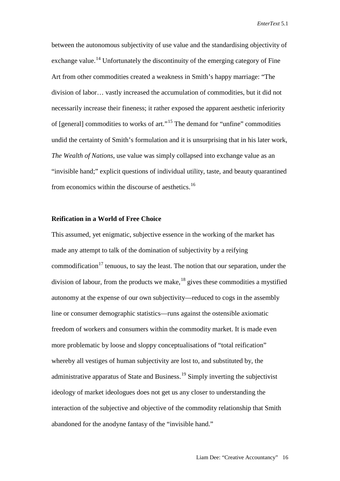between the autonomous subjectivity of use value and the standardising objectivity of exchange value.<sup>[14](#page-20-13)</sup> Unfortunately the discontinuity of the emerging category of Fine Art from other commodities created a weakness in Smith's happy marriage: "The division of labor… vastly increased the accumulation of commodities, but it did not necessarily increase their fineness; it rather exposed the apparent aesthetic inferiority of [general] commodities to works of art."[15](#page-20-14) The demand for "unfine" commodities undid the certainty of Smith's formulation and it is unsurprising that in his later work, *The Wealth of Nations*, use value was simply collapsed into exchange value as an "invisible hand;" explicit questions of individual utility, taste, and beauty quarantined from economics within the discourse of aesthetics.<sup>[16](#page-20-15)</sup>

# **Reification in a World of Free Choice**

This assumed, yet enigmatic, subjective essence in the working of the market has made any attempt to talk of the domination of subjectivity by a reifying commodification<sup>[17](#page-20-16)</sup> tenuous, to say the least. The notion that our separation, under the division of labour, from the products we make, <sup>[18](#page-20-17)</sup> gives these commodities a mystified autonomy at the expense of our own subjectivity—reduced to cogs in the assembly line or consumer demographic statistics—runs against the ostensible axiomatic freedom of workers and consumers within the commodity market. It is made even more problematic by loose and sloppy conceptualisations of "total reification" whereby all vestiges of human subjectivity are lost to, and substituted by, the administrative apparatus of State and Business.<sup>[19](#page-21-0)</sup> Simply inverting the subjectivist ideology of market ideologues does not get us any closer to understanding the interaction of the subjective and objective of the commodity relationship that Smith abandoned for the anodyne fantasy of the "invisible hand."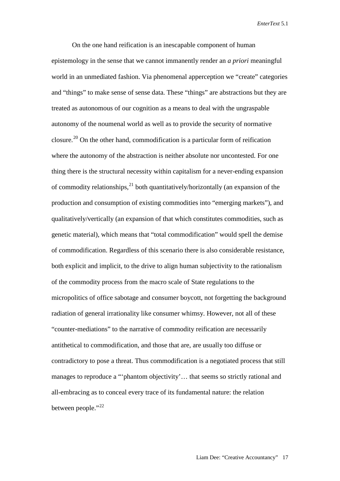On the one hand reification is an inescapable component of human epistemology in the sense that we cannot immanently render an *a priori* meaningful world in an unmediated fashion. Via phenomenal apperception we "create" categories and "things" to make sense of sense data. These "things" are abstractions but they are treated as autonomous of our cognition as a means to deal with the ungraspable autonomy of the noumenal world as well as to provide the security of normative closure.<sup>[20](#page-21-1)</sup> On the other hand, commodification is a particular form of reification where the autonomy of the abstraction is neither absolute nor uncontested. For one thing there is the structural necessity within capitalism for a never-ending expansion of commodity relationships,<sup>[21](#page-21-2)</sup> both quantitatively/horizontally (an expansion of the production and consumption of existing commodities into "emerging markets"), and qualitatively/vertically (an expansion of that which constitutes commodities, such as genetic material), which means that "total commodification" would spell the demise of commodification. Regardless of this scenario there is also considerable resistance, both explicit and implicit, to the drive to align human subjectivity to the rationalism of the commodity process from the macro scale of State regulations to the micropolitics of office sabotage and consumer boycott, not forgetting the background radiation of general irrationality like consumer whimsy. However, not all of these "counter-mediations" to the narrative of commodity reification are necessarily antithetical to commodification, and those that are, are usually too diffuse or contradictory to pose a threat. Thus commodification is a negotiated process that still manages to reproduce a "'phantom objectivity'... that seems so strictly rational and all-embracing as to conceal every trace of its fundamental nature: the relation between people."<sup>[22](#page-21-3)</sup>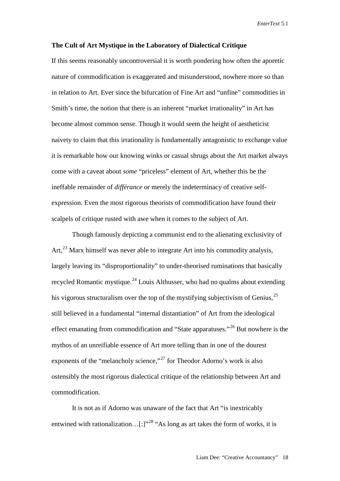#### **The Cult of Art Mystique in the Laboratory of Dialectical Critique**

If this seems reasonably uncontroversial it is worth pondering how often the aporetic nature of commodification is exaggerated and misunderstood, nowhere more so than in relation to Art. Ever since the bifurcation of Fine Art and "unfine" commodities in Smith's time, the notion that there is an inherent "market irrationality" in Art has become almost common sense. Though it would seem the height of aestheticist naivety to claim that this irrationality is fundamentally antagonistic to exchange value it is remarkable how our knowing winks or casual shrugs about the Art market always come with a caveat about *some* "priceless" element of Art, whether this be the ineffable remainder of *différance* or merely the indeterminacy of creative selfexpression. Even the most rigorous theorists of commodification have found their scalpels of critique rusted with awe when it comes to the subject of Art.

Though famously depicting a communist end to the alienating exclusivity of Art,<sup>[23](#page-21-4)</sup> Marx himself was never able to integrate Art into his commodity analysis, largely leaving its "disproportionality" to under-theorised ruminations that basically recycled Romantic mystique.<sup>[24](#page-21-5)</sup> Louis Althusser, who had no qualms about extending his vigorous structuralism over the top of the mystifying subjectivism of Genius,<sup>[25](#page-21-6)</sup> still believed in a fundamental "internal distantiation" of Art from the ideological effect emanating from commodification and "State apparatuses."<sup>[26](#page-21-7)</sup> But nowhere is the mythos of an unreifiable essence of Art more telling than in one of the dourest exponents of the "melancholy science,"<sup>[27](#page-21-8)</sup> for Theodor Adorno's work is also ostensibly the most rigorous dialectical critique of the relationship between Art and commodification.

It is not as if Adorno was unaware of the fact that Art "is inextricably entwined with rationalization... $[:]^{28}$  $[:]^{28}$  $[:]^{28}$  "As long as art takes the form of works, it is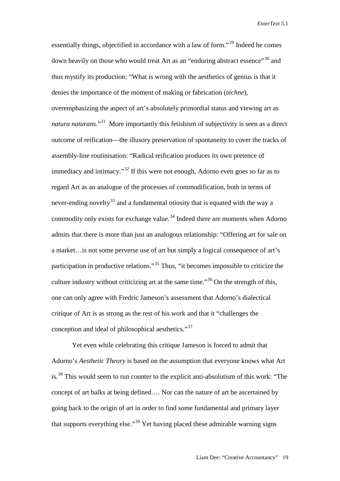essentially things, objectified in accordance with a law of form."[29](#page-21-10) Indeed he comes down heavily on those who would treat Art as an "enduring abstract essence"<sup>[30](#page-21-11)</sup> and thus mystify its production: "What is wrong with the aesthetics of genius is that it denies the importance of the moment of making or fabrication (*téchne*), overemphasizing the aspect of art's absolutely primordial status and viewing art as *natura naturans*."[31](#page-21-12) More importantly this fetishism of subjectivity is seen as a direct outcome of reification—the illusory preservation of spontaneity to cover the tracks of assembly-line routinisation: "Radical reification produces its own pretence of immediacy and intimacy."<sup>[32](#page-21-13)</sup> If this were not enough, Adorno even goes so far as to regard Art as an analogue of the processes of commodification, both in terms of never-ending novelty<sup>[33](#page-21-14)</sup> and a fundamental otiosity that is equated with the way a commodity only exists for exchange value.<sup>[34](#page-21-15)</sup> Indeed there are moments when Adorno admits that there is more than just an analogous relationship: "Offering art for sale on a market…is not some perverse use of art but simply a logical consequence of art's participation in productive relations."[35](#page-21-16) Thus, "it becomes impossible to criticize the culture industry without criticizing art at the same time."[36](#page-21-17) On the strength of this, one can only agree with Fredric Jameson's assessment that Adorno's dialectical critique of Art is as strong as the rest of his work and that it "challenges the conception and ideal of philosophical aesthetics."<sup>[37](#page-21-18)</sup>

Yet even while celebrating this critique Jameson is forced to admit that Adorno's *Aesthetic Theory* is based on the assumption that everyone knows what Art is.<sup>[38](#page-21-19)</sup> This would seem to run counter to the explicit anti-absolutism of this work: "The concept of art balks at being defined…. Nor can the nature of art be ascertained by going back to the origin of art in order to find some fundamental and primary layer that supports everything else."[39](#page-21-20) Yet having placed these admirable warning signs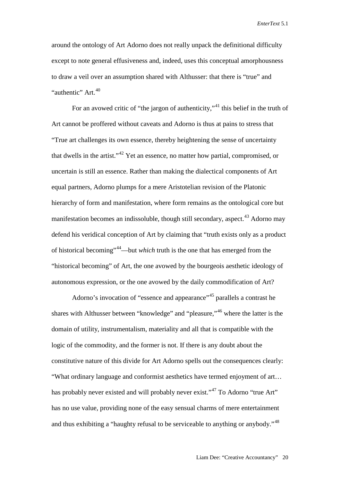around the ontology of Art Adorno does not really unpack the definitional difficulty except to note general effusiveness and, indeed, uses this conceptual amorphousness to draw a veil over an assumption shared with Althusser: that there is "true" and "authentic" Art.<sup>[40](#page-21-21)</sup>

For an avowed critic of "the jargon of authenticity,"<sup>[41](#page-21-22)</sup> this belief in the truth of Art cannot be proffered without caveats and Adorno is thus at pains to stress that "True art challenges its own essence, thereby heightening the sense of uncertainty that dwells in the artist."<sup>[42](#page-22-0)</sup> Yet an essence, no matter how partial, compromised, or uncertain is still an essence. Rather than making the dialectical components of Art equal partners, Adorno plumps for a mere Aristotelian revision of the Platonic hierarchy of form and manifestation, where form remains as the ontological core but manifestation becomes an indissoluble, though still secondary, aspect.<sup>[43](#page-22-1)</sup> Adorno may defend his veridical conception of Art by claiming that "truth exists only as a product of historical becoming"[44—](#page-22-2)but *which* truth is the one that has emerged from the "historical becoming" of Art, the one avowed by the bourgeois aesthetic ideology of autonomous expression, or the one avowed by the daily commodification of Art?

Adorno's invocation of "essence and appearance"<sup>[45](#page-22-3)</sup> parallels a contrast he shares with Althusser between "knowledge" and "pleasure,"[46](#page-22-4) where the latter is the domain of utility, instrumentalism, materiality and all that is compatible with the logic of the commodity, and the former is not. If there is any doubt about the constitutive nature of this divide for Art Adorno spells out the consequences clearly: "What ordinary language and conformist aesthetics have termed enjoyment of art… has probably never existed and will probably never exist."<sup>[47](#page-22-5)</sup> To Adorno "true Art" has no use value, providing none of the easy sensual charms of mere entertainment and thus exhibiting a "haughty refusal to be serviceable to anything or anybody."<sup>[48](#page-22-6)</sup>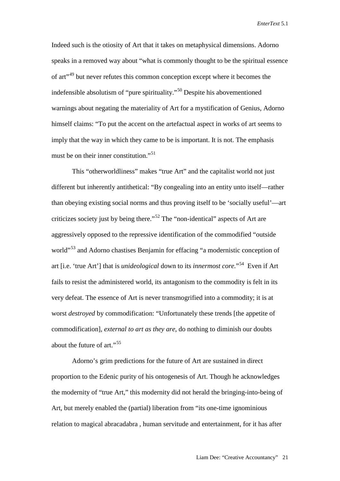Indeed such is the otiosity of Art that it takes on metaphysical dimensions. Adorno speaks in a removed way about "what is commonly thought to be the spiritual essence of art<sup>1[49](#page-22-7)</sup> but never refutes this common conception except where it becomes the indefensible absolutism of "pure spirituality."[50](#page-22-8) Despite his abovementioned warnings about negating the materiality of Art for a mystification of Genius, Adorno himself claims: "To put the accent on the artefactual aspect in works of art seems to imply that the way in which they came to be is important. It is not. The emphasis must be on their inner constitution."<sup>[51](#page-22-9)</sup>

This "otherworldliness" makes "true Art" and the capitalist world not just different but inherently antithetical: "By congealing into an entity unto itself—rather than obeying existing social norms and thus proving itself to be 'socially useful'—art criticizes society just by being there."[52](#page-22-10) The "non-identical" aspects of Art are aggressively opposed to the repressive identification of the commodified "outside world"<sup>[53](#page-22-11)</sup> and Adorno chastises Benjamin for effacing "a modernistic conception of art [i.e. 'true Art'] that is *unideological* down to its *innermost core.*"[54](#page-22-12) Even if Art fails to resist the administered world, its antagonism to the commodity is felt in its very defeat. The essence of Art is never transmogrified into a commodity; it is at worst *destroyed* by commodification: "Unfortunately these trends [the appetite of commodification], *external to art as they are*, do nothing to diminish our doubts about the future of art." $55$ 

Adorno's grim predictions for the future of Art are sustained in direct proportion to the Edenic purity of his ontogenesis of Art. Though he acknowledges the modernity of "true Art," this modernity did not herald the bringing-into-being of Art, but merely enabled the (partial) liberation from "its one-time ignominious relation to magical abracadabra , human servitude and entertainment, for it has after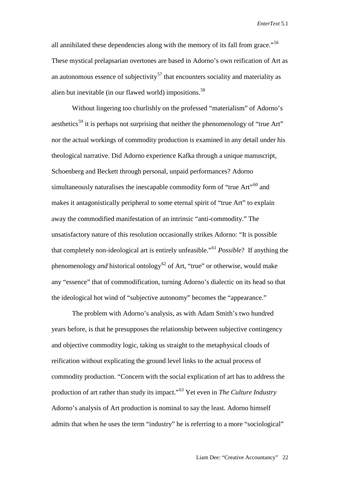all annihilated these dependencies along with the memory of its fall from grace."<sup>56</sup> These mystical prelapsarian overtones are based in Adorno's own reification of Art as an autonomous essence of subjectivity<sup>[57](#page-22-15)</sup> that encounters sociality and materiality as alien but inevitable (in our flawed world) impositions.<sup>[58](#page-22-16)</sup>

Without lingering too churlishly on the professed "materialism" of Adorno's aesthetics<sup>[59](#page-22-17)</sup> it is perhaps not surprising that neither the phenomenology of "true Art" nor the actual workings of commodity production is examined in any detail under his theological narrative. Did Adorno experience Kafka through a unique manuscript, Schoenberg and Beckett through personal, unpaid performances? Adorno simultaneously naturalises the inescapable commodity form of "true Art"<sup>[60](#page-22-18)</sup> and makes it antagonistically peripheral to some eternal spirit of "true Art" to explain away the commodified manifestation of an intrinsic "anti-commodity." The unsatisfactory nature of this resolution occasionally strikes Adorno: "It is possible that completely non-ideological art is entirely unfeasible."[61](#page-22-19) *Possible*? If anything the phenomenology *and* historical ontology<sup>[62](#page-22-20)</sup> of Art, "true" or otherwise, would make any "essence" that of commodification, turning Adorno's dialectic on its head so that the ideological hot wind of "subjective autonomy" becomes the "appearance."

The problem with Adorno's analysis, as with Adam Smith's two hundred years before, is that he presupposes the relationship between subjective contingency and objective commodity logic, taking us straight to the metaphysical clouds of reification without explicating the ground level links to the actual process of commodity production. "Concern with the social explication of art has to address the production of art rather than study its impact."[63](#page-22-21) Yet even in *The Culture Industry* Adorno's analysis of Art production is nominal to say the least. Adorno himself admits that when he uses the term "industry" he is referring to a more "sociological"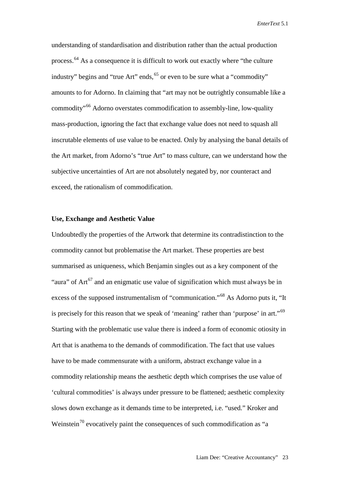understanding of standardisation and distribution rather than the actual production process.<sup>[64](#page-22-22)</sup> As a consequence it is difficult to work out exactly where "the culture industry" begins and "true Art" ends, <sup>[65](#page-22-23)</sup> or even to be sure what a "commodity" amounts to for Adorno. In claiming that "art may not be outrightly consumable like a commodity"[66](#page-22-24) Adorno overstates commodification to assembly-line, low-quality mass-production, ignoring the fact that exchange value does not need to squash all inscrutable elements of use value to be enacted. Only by analysing the banal details of the Art market, from Adorno's "true Art" to mass culture, can we understand how the subjective uncertainties of Art are not absolutely negated by, nor counteract and exceed, the rationalism of commodification.

# **Use, Exchange and Aesthetic Value**

Undoubtedly the properties of the Artwork that determine its contradistinction to the commodity cannot but problematise the Art market. These properties are best summarised as uniqueness, which Benjamin singles out as a key component of the "aura" of  $Art^{67}$  $Art^{67}$  $Art^{67}$  and an enigmatic use value of signification which must always be in excess of the supposed instrumentalism of "communication."<sup>[68](#page-22-26)</sup> As Adorno puts it, "It is precisely for this reason that we speak of 'meaning' rather than 'purpose' in art."[69](#page-23-0) Starting with the problematic use value there is indeed a form of economic otiosity in Art that is anathema to the demands of commodification. The fact that use values have to be made commensurate with a uniform, abstract exchange value in a commodity relationship means the aesthetic depth which comprises the use value of 'cultural commodities' is always under pressure to be flattened; aesthetic complexity slows down exchange as it demands time to be interpreted, i.e. "used." Kroker and Weinstein<sup>[70](#page-23-1)</sup> evocatively paint the consequences of such commodification as "a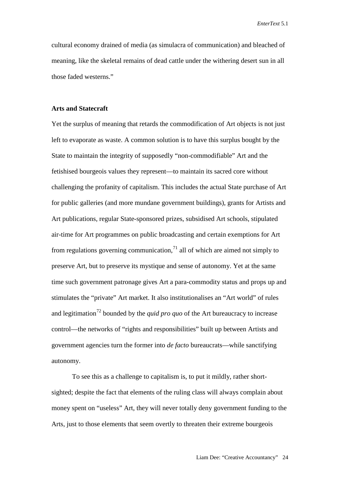cultural economy drained of media (as simulacra of communication) and bleached of meaning, like the skeletal remains of dead cattle under the withering desert sun in all those faded westerns."

# **Arts and Statecraft**

Yet the surplus of meaning that retards the commodification of Art objects is not just left to evaporate as waste. A common solution is to have this surplus bought by the State to maintain the integrity of supposedly "non-commodifiable" Art and the fetishised bourgeois values they represent—to maintain its sacred core without challenging the profanity of capitalism. This includes the actual State purchase of Art for public galleries (and more mundane government buildings), grants for Artists and Art publications, regular State-sponsored prizes, subsidised Art schools, stipulated air-time for Art programmes on public broadcasting and certain exemptions for Art from regulations governing communication, $1$  all of which are aimed not simply to preserve Art, but to preserve its mystique and sense of autonomy. Yet at the same time such government patronage gives Art a para-commodity status and props up and stimulates the "private" Art market. It also institutionalises an "Art world" of rules and legitimation<sup>[72](#page-23-3)</sup> bounded by the *quid pro quo* of the Art bureaucracy to increase control—the networks of "rights and responsibilities" built up between Artists and government agencies turn the former into *de facto* bureaucrats—while sanctifying autonomy.

To see this as a challenge to capitalism is, to put it mildly, rather shortsighted; despite the fact that elements of the ruling class will always complain about money spent on "useless" Art, they will never totally deny government funding to the Arts, just to those elements that seem overtly to threaten their extreme bourgeois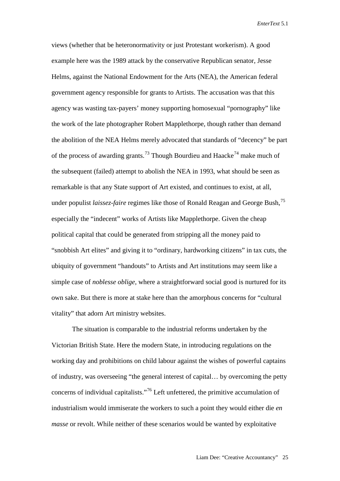views (whether that be heteronormativity or just Protestant workerism). A good example here was the 1989 attack by the conservative Republican senator, Jesse Helms, against the National Endowment for the Arts (NEA), the American federal government agency responsible for grants to Artists. The accusation was that this agency was wasting tax-payers' money supporting homosexual "pornography" like the work of the late photographer Robert Mapplethorpe, though rather than demand the abolition of the NEA Helms merely advocated that standards of "decency" be part of the process of awarding grants.<sup>[73](#page-23-4)</sup> Though Bourdieu and Haacke<sup>[74](#page-23-5)</sup> make much of the subsequent (failed) attempt to abolish the NEA in 1993, what should be seen as remarkable is that any State support of Art existed, and continues to exist, at all, under populist *laissez-faire* regimes like those of Ronald Reagan and George Bush, [75](#page-23-6) especially the "indecent" works of Artists like Mapplethorpe. Given the cheap political capital that could be generated from stripping all the money paid to "snobbish Art elites" and giving it to "ordinary, hardworking citizens" in tax cuts, the ubiquity of government "handouts" to Artists and Art institutions may seem like a simple case of *noblesse oblige,* where a straightforward social good is nurtured for its own sake. But there is more at stake here than the amorphous concerns for "cultural vitality" that adorn Art ministry websites.

The situation is comparable to the industrial reforms undertaken by the Victorian British State. Here the modern State, in introducing regulations on the working day and prohibitions on child labour against the wishes of powerful captains of industry, was overseeing "the general interest of capital… by overcoming the petty concerns of individual capitalists."[76](#page-23-7) Left unfettered, the primitive accumulation of industrialism would immiserate the workers to such a point they would either die *en masse* or revolt. While neither of these scenarios would be wanted by exploitative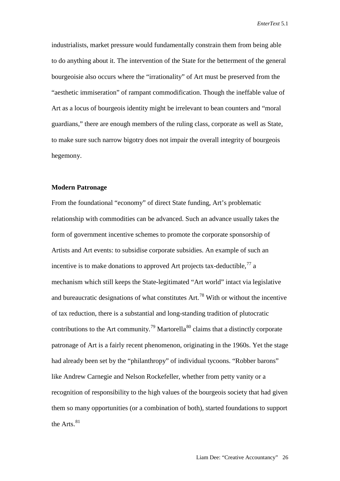industrialists, market pressure would fundamentally constrain them from being able to do anything about it. The intervention of the State for the betterment of the general bourgeoisie also occurs where the "irrationality" of Art must be preserved from the "aesthetic immiseration" of rampant commodification. Though the ineffable value of Art as a locus of bourgeois identity might be irrelevant to bean counters and "moral guardians," there are enough members of the ruling class, corporate as well as State, to make sure such narrow bigotry does not impair the overall integrity of bourgeois hegemony.

#### **Modern Patronage**

From the foundational "economy" of direct State funding, Art's problematic relationship with commodities can be advanced. Such an advance usually takes the form of government incentive schemes to promote the corporate sponsorship of Artists and Art events: to subsidise corporate subsidies. An example of such an incentive is to make donations to approved Art projects tax-deductible,  $77$  a mechanism which still keeps the State-legitimated "Art world" intact via legislative and bureaucratic designations of what constitutes  $Art.$ <sup>[78](#page-23-9)</sup> With or without the incentive of tax reduction, there is a substantial and long-standing tradition of plutocratic contributions to the Art community.<sup>[79](#page-23-10)</sup> Martorella<sup>[80](#page-23-11)</sup> claims that a distinctly corporate patronage of Art is a fairly recent phenomenon, originating in the 1960s. Yet the stage had already been set by the "philanthropy" of individual tycoons. "Robber barons" like Andrew Carnegie and Nelson Rockefeller, whether from petty vanity or a recognition of responsibility to the high values of the bourgeois society that had given them so many opportunities (or a combination of both), started foundations to support the Arts.<sup>[81](#page-23-12)</sup>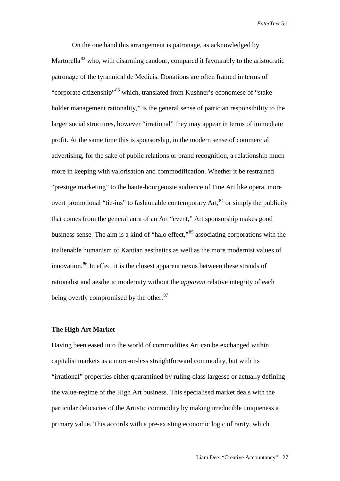On the one hand this arrangement is patronage, as acknowledged by Martorella<sup>[82](#page-23-13)</sup> who, with disarming candour, compared it favourably to the aristocratic patronage of the tyrannical de Medicis. Donations are often framed in terms of "corporate citizenship"[83](#page-23-14) which, translated from Kushner's economese of "stakeholder management rationality," is the general sense of patrician responsibility to the larger social structures, however "irrational" they may appear in terms of immediate profit. At the same time this is sponsorship, in the modern sense of commercial advertising, for the sake of public relations or brand recognition, a relationship much more in keeping with valorisation and commodification. Whether it be restrained "prestige marketing" to the haute-bourgeoisie audience of Fine Art like opera, more overt promotional "tie-ins" to fashionable contemporary Art,<sup>[84](#page-23-15)</sup> or simply the publicity that comes from the general aura of an Art "event," Art sponsorship makes good business sense. The aim is a kind of "halo effect,"[85](#page-23-16) associating corporations with the inalienable humanism of Kantian aesthetics as well as the more modernist values of innovation. [86](#page-23-17) In effect it is the closest apparent nexus between these strands of rationalist and aesthetic modernity without the *apparent* relative integrity of each being overtly compromised by the other.<sup>[87](#page-23-18)</sup>

# **The High Art Market**

Having been eased into the world of commodities Art can be exchanged within capitalist markets as a more-or-less straightforward commodity, but with its "irrational" properties either quarantined by ruling-class largesse or actually defining the value-regime of the High Art business. This specialised market deals with the particular delicacies of the Artistic commodity by making irreducible uniqueness a primary value. This accords with a pre-existing economic logic of rarity, which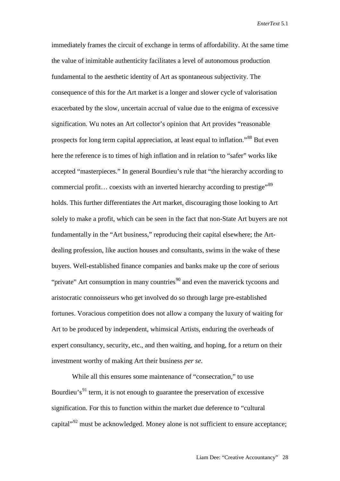immediately frames the circuit of exchange in terms of affordability. At the same time the value of inimitable authenticity facilitates a level of autonomous production fundamental to the aesthetic identity of Art as spontaneous subjectivity. The consequence of this for the Art market is a longer and slower cycle of valorisation exacerbated by the slow, uncertain accrual of value due to the enigma of excessive signification. Wu notes an Art collector's opinion that Art provides "reasonable prospects for long term capital appreciation, at least equal to inflation."[88](#page-23-19) But even here the reference is to times of high inflation and in relation to "safer" works like accepted "masterpieces." In general Bourdieu's rule that "the hierarchy according to commercial profit... coexists with an inverted hierarchy according to prestige"<sup>[89](#page-23-20)</sup> holds. This further differentiates the Art market, discouraging those looking to Art solely to make a profit, which can be seen in the fact that non-State Art buyers are not fundamentally in the "Art business," reproducing their capital elsewhere; the Artdealing profession, like auction houses and consultants, swims in the wake of these buyers. Well-established finance companies and banks make up the core of serious "private" Art consumption in many countries<sup>[90](#page-23-21)</sup> and even the maverick tycoons and aristocratic connoisseurs who get involved do so through large pre-established fortunes. Voracious competition does not allow a company the luxury of waiting for Art to be produced by independent, whimsical Artists, enduring the overheads of expert consultancy, security, etc., and then waiting, and hoping, for a return on their investment worthy of making Art their business *per se*.

While all this ensures some maintenance of "consecration," to use Bourdieu's<sup>[91](#page-23-22)</sup> term, it is not enough to guarantee the preservation of excessive signification. For this to function within the market due deference to "cultural capital"<sup>[92](#page-23-23)</sup> must be acknowledged. Money alone is not sufficient to ensure acceptance;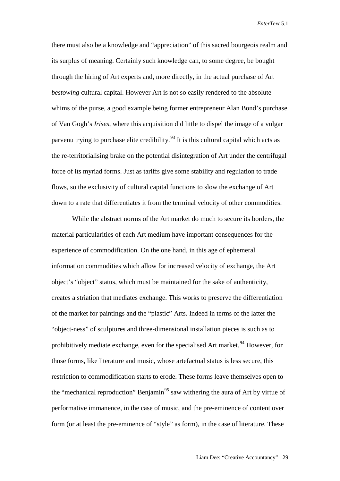there must also be a knowledge and "appreciation" of this sacred bourgeois realm and its surplus of meaning. Certainly such knowledge can, to some degree, be bought through the hiring of Art experts and, more directly, in the actual purchase of Art *bestowing* cultural capital. However Art is not so easily rendered to the absolute whims of the purse, a good example being former entrepreneur Alan Bond's purchase of Van Gogh's *Irises*, where this acquisition did little to dispel the image of a vulgar parvenu trying to purchase elite credibility.<sup>[93](#page-23-24)</sup> It is this cultural capital which acts as the re-territorialising brake on the potential disintegration of Art under the centrifugal force of its myriad forms. Just as tariffs give some stability and regulation to trade flows, so the exclusivity of cultural capital functions to slow the exchange of Art down to a rate that differentiates it from the terminal velocity of other commodities.

While the abstract norms of the Art market do much to secure its borders, the material particularities of each Art medium have important consequences for the experience of commodification. On the one hand, in this age of ephemeral information commodities which allow for increased velocity of exchange, the Art object's "object" status, which must be maintained for the sake of authenticity, creates a striation that mediates exchange. This works to preserve the differentiation of the market for paintings and the "plastic" Arts. Indeed in terms of the latter the "object-ness" of sculptures and three-dimensional installation pieces is such as to prohibitively mediate exchange, even for the specialised Art market.<sup>[94](#page-23-25)</sup> However, for those forms, like literature and music, whose artefactual status is less secure, this restriction to commodification starts to erode. These forms leave themselves open to the "mechanical reproduction" Benjamin<sup>[95](#page-24-0)</sup> saw withering the aura of Art by virtue of performative immanence, in the case of music, and the pre-eminence of content over form (or at least the pre-eminence of "style" as form), in the case of literature. These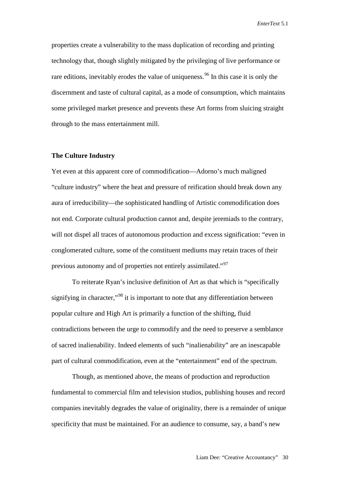properties create a vulnerability to the mass duplication of recording and printing technology that, though slightly mitigated by the privileging of live performance or rare editions, inevitably erodes the value of uniqueness.<sup>[96](#page-24-1)</sup> In this case it is only the discernment and taste of cultural capital, as a mode of consumption, which maintains some privileged market presence and prevents these Art forms from sluicing straight through to the mass entertainment mill.

#### **The Culture Industry**

Yet even at this apparent core of commodification—Adorno's much maligned "culture industry" where the heat and pressure of reification should break down any aura of irreducibility—the sophisticated handling of Artistic commodification does not end. Corporate cultural production cannot and, despite jeremiads to the contrary, will not dispel all traces of autonomous production and excess signification: "even in conglomerated culture, some of the constituent mediums may retain traces of their previous autonomy and of properties not entirely assimilated."[97](#page-24-2)

To reiterate Ryan's inclusive definition of Art as that which is "specifically signifying in character,"<sup>[98](#page-24-3)</sup> it is important to note that any differentiation between popular culture and High Art is primarily a function of the shifting, fluid contradictions between the urge to commodify and the need to preserve a semblance of sacred inalienability. Indeed elements of such "inalienability" are an inescapable part of cultural commodification, even at the "entertainment" end of the spectrum.

Though, as mentioned above, the means of production and reproduction fundamental to commercial film and television studios, publishing houses and record companies inevitably degrades the value of originality, there is a remainder of unique specificity that must be maintained. For an audience to consume, say, a band's new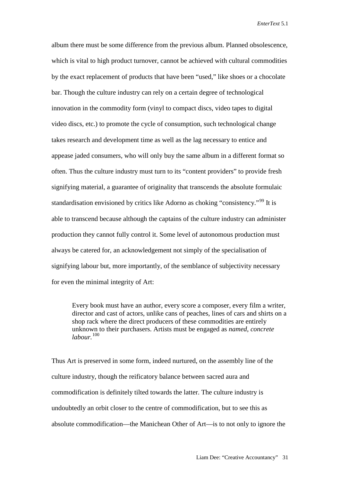album there must be some difference from the previous album. Planned obsolescence, which is vital to high product turnover, cannot be achieved with cultural commodities by the exact replacement of products that have been "used," like shoes or a chocolate bar. Though the culture industry can rely on a certain degree of technological innovation in the commodity form (vinyl to compact discs, video tapes to digital video discs, etc.) to promote the cycle of consumption, such technological change takes research and development time as well as the lag necessary to entice and appease jaded consumers, who will only buy the same album in a different format so often. Thus the culture industry must turn to its "content providers" to provide fresh signifying material, a guarantee of originality that transcends the absolute formulaic standardisation envisioned by critics like Adorno as choking "consistency."<sup>[99](#page-24-4)</sup> It is able to transcend because although the captains of the culture industry can administer production they cannot fully control it. Some level of autonomous production must always be catered for, an acknowledgement not simply of the specialisation of signifying labour but, more importantly, of the semblance of subjectivity necessary for even the minimal integrity of Art:

Every book must have an author, every score a composer, every film a writer, director and cast of actors, unlike cans of peaches, lines of cars and shirts on a shop rack where the direct producers of these commodities are entirely unknown to their purchasers. Artists must be engaged as *named*, *concrete labour.* [100](#page-24-5)

Thus Art is preserved in some form, indeed nurtured, on the assembly line of the culture industry, though the reificatory balance between sacred aura and commodification is definitely tilted towards the latter. The culture industry is undoubtedly an orbit closer to the centre of commodification, but to see this as absolute commodification—the Manichean Other of Art—is to not only to ignore the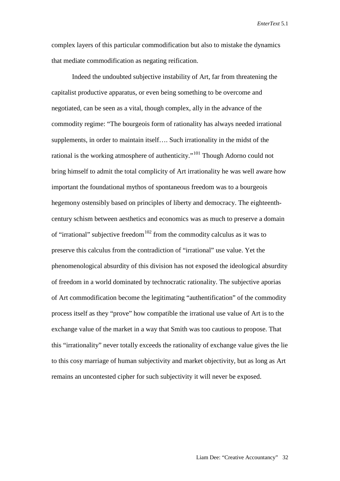complex layers of this particular commodification but also to mistake the dynamics that mediate commodification as negating reification.

Indeed the undoubted subjective instability of Art, far from threatening the capitalist productive apparatus, or even being something to be overcome and negotiated, can be seen as a vital, though complex, ally in the advance of the commodity regime: "The bourgeois form of rationality has always needed irrational supplements, in order to maintain itself…. Such irrationality in the midst of the rational is the working atmosphere of authenticity."<sup>[101](#page-24-6)</sup> Though Adorno could not bring himself to admit the total complicity of Art irrationality he was well aware how important the foundational mythos of spontaneous freedom was to a bourgeois hegemony ostensibly based on principles of liberty and democracy. The eighteenthcentury schism between aesthetics and economics was as much to preserve a domain of "irrational" subjective freedom<sup>[102](#page-24-7)</sup> from the commodity calculus as it was to preserve this calculus from the contradiction of "irrational" use value. Yet the phenomenological absurdity of this division has not exposed the ideological absurdity of freedom in a world dominated by technocratic rationality. The subjective aporias of Art commodification become the legitimating "authentification" of the commodity process itself as they "prove" how compatible the irrational use value of Art is to the exchange value of the market in a way that Smith was too cautious to propose. That this "irrationality" never totally exceeds the rationality of exchange value gives the lie to this cosy marriage of human subjectivity and market objectivity, but as long as Art remains an uncontested cipher for such subjectivity it will never be exposed.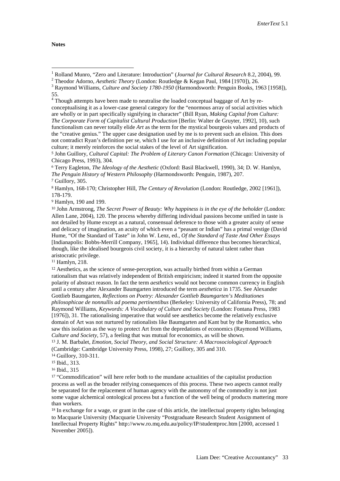<span id="page-20-4"></span><sup>5</sup> John Guillory, *Cultural Capital: The Problem of Literary Canon Formation* (Chicago: University of Chicago Press, 1993), 304.

<span id="page-20-5"></span><sup>6</sup> Terry Eagleton, *The Ideology of the Aesthetic* (Oxford: Basil Blackwell, 1990), 34; D. W. Hamlyn, *The Penguin History of Western Philosophy* (Harmondsworth: Penguin, 1987), 207.

<span id="page-20-7"></span><sup>8</sup> Hamlyn, 168-170; Christopher Hill, *The Century of Revolution* (London: Routledge, 2002 [1961]), 178-179.

<span id="page-20-8"></span><sup>9</sup> Hamlyn, 190 and 199.

<span id="page-20-9"></span><sup>10</sup> John Armstrong, *The Secret Power of Beauty: Why happiness is in the eye of the beholder* (London: Allen Lane, 2004), 120. The process whereby differing individual passions become unified in taste is not detailed by Hume except as a natural, consensual deference to those with a greater acuity of sense and delicacy of imagination, an acuity of which even a "peasant or Indian" has a primal vestige (David Hume, "Of the Standard of Taste" in John W. Lenz, ed., *Of the Standard of Taste And Other Essays* [Indianapolis: Bobbs-Merrill Company, 1965], 14). Individual difference thus becomes hierarchical, though, like the idealised bourgeois civil society, it is a hierarchy of natural talent rather than aristocratic privilege.

<span id="page-20-10"></span><sup>11</sup> Hamlyn, 218.

<span id="page-20-11"></span><sup>12</sup> Aesthetics, as the science of sense-perception, was actually birthed from within a German rationalism that was relatively independent of British empiricism; indeed it started from the opposite polarity of abstract reason. In fact the term *aesthetics* would not become common currency in English until a century after Alexander Baumgarten introduced the term *aesthetica* in 1735. See Alexander Gottlieb Baumgarten, *Reflections on Poetry: Alexander Gottlieb Baumgarten's Meditationes philosophicae de nonnullis ad poema pertinentibus* (Berkeley: University of California Press), 78; and Raymond Williams, *Keywords: A Vocabulary of Culture and Society* (London: Fontana Press, 1983 [1976]), 31. The rationalising imperative that would see aesthetics become the relatively exclusive domain of Art was not nurtured by rationalists like Baumgarten and Kant but by the Romantics, who saw this isolation as the way to protect Art from the depredations of economics (Raymond Williams, *Culture and Society*, 57), a feeling that was mutual for economics, as will be shown.

<span id="page-20-12"></span><sup>13</sup> J. M. Barbalet, *Emotion, Social Theory, and Social Structure: A Macrosociological Approach* (Cambridge: Cambridge University Press, 1998), 27; Guillory, 305 and 310.

<span id="page-20-16"></span><sup>17</sup> "Commodification" will here refer both to the mundane actualities of the capitalist production process as well as the broader reifying consequences of this process. These two aspects cannot really be separated for the replacement of human agency with the autonomy of the commodity is not just some vague alchemical ontological process but a function of the well being of products mattering more than workers.

<span id="page-20-17"></span><sup>18</sup> In exchange for a wage, or grant in the case of this article, the intellectual property rights belonging to Macquarie University (Macquarie University "Postgraduate Research Student Assignment of Intellectual Property Rights" [http://www.ro.mq.edu.au/policy/IP/studentproc.htm \[2000,](http://www.ro.mq.edu.au/policy/IP/studentproc.htm%20%5b2000) accessed 1 November 2005]).

<span id="page-20-2"></span>

<span id="page-20-1"></span><span id="page-20-0"></span><sup>&</sup>lt;sup>1</sup> Rolland Munro, "Zero and Literature: Introduction" (*Journal for Cultural Research* 8.2, 2004), 99.<br><sup>2</sup> Theodor Adorno, *Aesthetic Theory* (London: Routledge & Kegan Paul, 1984 [1970]), 26.<br><sup>3</sup> Raymond Williams, *Cult* 55.

<span id="page-20-3"></span><sup>&</sup>lt;sup>4</sup> Though attempts have been made to neutralise the loaded conceptual baggage of Art by reconceptualising it as a lower-case general category for the "enormous array of social activities which are wholly or in part specifically signifying in character" (Bill Ryan, *Making Capital from Culture: The Corporate Form of Capitalist Cultural Production* [Berlin: Walter de Gruyter, 1992], 10), such functionalism can never totally elide *Art* as the term for the mystical bourgeois values and products of the "creative genius." The upper case designation used by me is to prevent such an elision. This does not contradict Ryan's definition per se, which I use for an inclusive definition of Art including popular culture; it merely reinforces the social stakes of the level of Art signification.

<span id="page-20-6"></span><sup>7</sup> Guillory, 305.

<span id="page-20-13"></span><sup>14</sup> Guillory, 310-311.

<span id="page-20-14"></span><sup>15</sup> Ibid., 313.

<span id="page-20-15"></span><sup>16</sup> Ibid., 315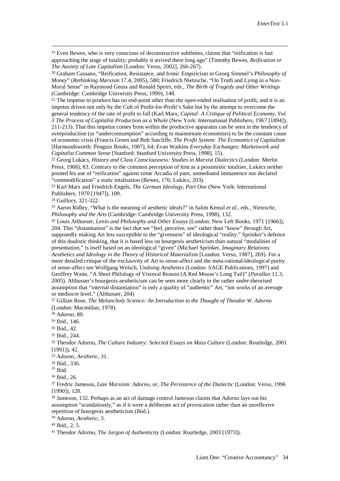<span id="page-21-0"></span> 19 Even Bewes, who is very conscious of deconstructive subtleties, claims that "reification is fast approaching the stage of totality; probably it arrived there long ago" (Timothy Bewes, *Reification or The Anxiety of Late Capitalism* [London: Verso, 2002], 266-267).

<span id="page-21-1"></span><sup>20</sup> Graham Cassano, "Reification, Resistance, and Ironic Empiricism in Georg Simmel's *Philosophy of Money*" (*Rethinking Marxism* 17.4, 2005), 580; Friedrich Nietzsche, "On Truth and Lying in a Non-Moral Sense" in Raymond Geuss and Ronald Speirs, eds., *The Birth of Tragedy and Other Writings* (Cambridge: Cambridge University Press, 1999), 148.

<span id="page-21-2"></span><sup>21</sup> The impetus to produce has no end-point other than the open-ended realisation of profit, and it is an impetus driven not only by the Cult of Profit-for-Profit's Sake but by the attempt to overcome the general tendency of the rate of profit to fall (Karl Marx, *Capital: A Critique of Political Economy, Vol. 3 The Process of Capitalist Production as a Whole* (New York: International Publishers, 1967 [1894]), 211-213). That this impetus comes from within the productive apparatus can be seen in the tendency of overproduction (or "underconsumption" according to mainstream economists) to be the constant cause of economic crisis (Francis Green and Bob Sutcliffe, *The Profit System: The Economics of Capitalism* [Harmondsworth: Penguin Books, 1987], 64; Evan Watkins *Everyday Exchanges: Marketwork and Capitalist Common Sense* [Stanford: Stanford University Press, 1998], 15).

<span id="page-21-3"></span><sup>22</sup> Georg Lukács, *History and Class Consciousness: Studies in Marxist Dialectics* (London: Merlin Press, 1968), 83. Contrary to the common perception of him as a pessimistic totaliser, Lukács neither posited his use of "reification" against some Arcadia of pure, unmediated immanence nor declared "commodification" a static totalisation (Bewes, 176; Lukács, 203).

<span id="page-21-4"></span><sup>23</sup> Karl Marx and Friedrich Engels, *The German Ideology, Part One* (New York: International Publishers, 1970 [1947]), 109.

<span id="page-21-5"></span><sup>24</sup> Guillory, 321-322.

<span id="page-21-6"></span><sup>25</sup> Aaron Ridley, "What is the meaning of aesthetic ideals?" in Salim Kemal *et al.*, eds., *Nietzsche, Philosophy and the Arts* (Cambridge: Cambridge University Press, 1998), 132.

<span id="page-21-7"></span><sup>26</sup> Louis Althusser, *Lenin and Philosophy and Other Essays* (London: New Left Books, 1971 [1966]), 204. This "distantiation" is the fact that we "feel, perceive, see" rather than "know" through Art, supposedly making Art less susceptible to the "givenness" of ideological "reality." Sprinker's defence of this dualistic thinking, that it is based less on bourgeois aestheticism than natural "modalities of presentation," is itself based on an ideological "given" (Michael Sprinker, *Imaginary Relations: Aesthetics and Ideology in the Theory of Historical Materialism* [London: Verso, 1987], 269). For a more detailed critique of the exclusivity of Art to sense-affect and the meta-rational/ideological purity of sense-affect see Wolfgang Welsch, *Undoing Aesthetics* (London: SAGE Publications, 1997) and Geoffrey Waite, "A Short Philology of Visceral Reason (A Red Mouse's Long Tail)" (*Parallax* 11.3, 2005). Althusser's bourgeois aestheticism can be seen more clearly in the rather under-theorised assumption that "internal distantiation" is only a quality of "authentic" Art, "not works of an average or mediocre level." (Althusser, 204)

<span id="page-21-8"></span><sup>27</sup> Gillian Rose, *The Melancholy Science: An Introduction to the Thought of Theodor W. Adorno* (London: Macmillan, 1978).

<span id="page-21-9"></span><sup>28</sup> Adorno, 80.

<span id="page-21-10"></span><sup>29</sup> Ibid., 146.

<span id="page-21-11"></span><sup>30</sup> Ibid., 42.

<span id="page-21-12"></span><sup>31</sup> Ibid., 244.

<span id="page-21-13"></span><sup>32</sup> Theodor Adorno, *The Culture Industry: Selected Essays on Mass Culture* (London: Routledge, 2001 [1991]), 42.

<span id="page-21-14"></span><sup>33</sup> Adorno, *Aesthetic*, 31.

<sup>34</sup> Ibid., 336.

<span id="page-21-16"></span><span id="page-21-15"></span> $^{\rm 35}$  Ibid.

<span id="page-21-17"></span><sup>36</sup> Ibid., 26.

<span id="page-21-18"></span><sup>37</sup> Fredric Jameson, *Late Marxism: Adorno, or, The Persistence of the Dialectic* (London: Verso, 1996 [1990]), 128.

<span id="page-21-19"></span><sup>38</sup> Jameson, 132. Perhaps as an act of damage control Jameson claims that Adorno lays out his assumption "scandalously," as if it were a deliberate act of provocation rather than an unreflexive repetition of bourgeois aestheticism (Ibid.).

<span id="page-21-20"></span><sup>39</sup> Adorno, *Aesthetic*, 3.

<span id="page-21-21"></span><sup>40</sup> Ibid., 2, 5.

<span id="page-21-22"></span><sup>41</sup> Theodor Adorno, *The Jargon of Authenticity* (London: Routledge, 2003 [1973]).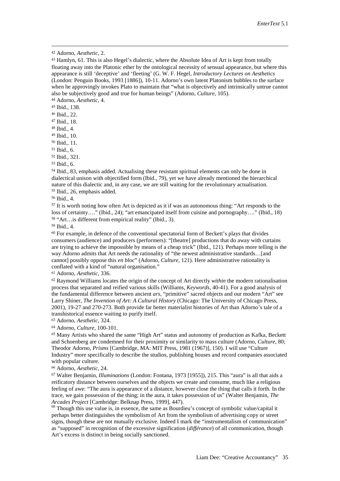<span id="page-22-2"></span><sup>44</sup> Adorno, *Aesthetic*, 4.

<span id="page-22-3"></span><sup>45</sup> Ibid., 138.

<span id="page-22-4"></span><sup>46</sup> Ibid., 22.

<span id="page-22-5"></span><sup>47</sup> Ibid., 18.

<span id="page-22-6"></span><sup>48</sup> Ibid., 4.

<span id="page-22-7"></span><sup>49</sup> Ibid., 10.

<span id="page-22-8"></span><sup>50</sup> Ibid., 11.

<span id="page-22-9"></span><sup>51</sup> Ibid., 6.

<span id="page-22-10"></span><sup>52</sup> Ibid., 321.

<span id="page-22-11"></span><sup>53</sup> Ibid., 6.

<span id="page-22-12"></span><sup>54</sup> Ibid., 83, emphasis added. Actualising these resistant spiritual elements can only be done in dialectical unison with objectified form (Ibid., 79), yet we have already mentioned the hierarchical nature of this dialectic and, in any case, we are still waiting for the revolutionary actualisation. <sup>55</sup> Ibid., 26, emphasis added.

<span id="page-22-14"></span><span id="page-22-13"></span><sup>56</sup> Ibid., 4.

<span id="page-22-15"></span><sup>57</sup> It is worth noting how often Art is depicted as it if was an autonomous thing: "Art responds to the loss of certainty…." (Ibid., 24); "art emancipated itself from cuisine and pornography…." (Ibid., 18) <sup>58</sup> "Art…is different from empirical reality" (Ibid., 3).

<span id="page-22-17"></span><span id="page-22-16"></span><sup>59</sup> Ibid., 4.

<span id="page-22-18"></span> $60$  For example, in defence of the conventional spectatorial form of Beckett's plays that divides consumers (audience) and producers (performers): "[theatre] productions that do away with curtains are trying to achieve the impossible by means of a cheap trick" (Ibid., 121). Perhaps more telling is the way Adorno admits that Art needs the rationality of "the newest administrative standards…[and cannot] possibly oppose this *en bloc*" (Adorno, *Culture*, 121). Here administrative rationality is conflated with a kind of "natural organisation."

<span id="page-22-19"></span><sup>61</sup> Adorno, *Aesthetic*, 336.

<span id="page-22-20"></span><sup>62</sup> Raymond Williams locates the origin of the concept of Art directly *within* the modern rationalisation process that separated and reified various skills (Williams, *Keywords*, 40-41). For a good analysis of the fundamental difference between ancient *ars*, "primitive" sacred objects and our modern "Art" see Larry Shiner, *The Invention of Art: A Cultural History* (Chicago: The University of Chicago Press, 2001), 19-27 and 270-273. Both provide far better materialist histories of Art than Adorno's tale of a transhistorical essence waiting to purify itself.

<span id="page-22-21"></span><sup>63</sup> Adorno, *Aesthetic*, 324.

<span id="page-22-22"></span><sup>64</sup> Adorno, *Culture*, 100-101.

<span id="page-22-23"></span><sup>65</sup> Many Artists who shared the same "High Art" status and autonomy of production as Kafka, Beckett and Schoenberg are condemned for their proximity or similarity to mass culture (Adorno, *Culture*, 80; Theodor Adorno, *Prisms* [Cambridge, MA: MIT Press, 1981 (1967)], 150). I will use "Culture Industry" more specifically to describe the studios, publishing houses and record companies associated with popular culture.

<span id="page-22-24"></span><sup>66</sup> Adorno, *Aesthetic*, 24.

<span id="page-22-25"></span><sup>67</sup> Walter Benjamin, *Illuminations* (London: Fontana, 1973 [1955]), 215. This "aura" is all that aids a reificatory distance between ourselves and the objects we create and consume, much like a religious feeling of awe: "The aura is appearance of a distance, however close the thing that calls it forth. In the trace, we gain possession of the thing; in the aura, it takes possession of us" (Walter Benjamin, *The* 

<span id="page-22-26"></span><sup>68</sup> Though this use value is, in essence, the same as Bourdieu's concept of symbolic value/capital it perhaps better distinguishes the symbolism of Art from the symbolism of advertising copy or street signs, though these are not mutually exclusive. Indeed I mark the "instrumentalism of communication" as "supposed" in recognition of the excessive signification (*différance*) of all communication, though Art's excess is distinct in being socially sanctioned.

<span id="page-22-0"></span> <sup>42</sup> Adorno, *Aesthetic*, 2.

<span id="page-22-1"></span><sup>&</sup>lt;sup>43</sup> Hamlyn, 61. This is also Hegel's dialectic, where the Absolute Idea of Art is kept from totally floating away into the Platonic ether by the ontological necessity of sensual appearance, but where this appearance is still 'deceptive' and 'fleeting' (G. W. F. Hegel, *Introductory Lectures on Aesthetics* (London: Penguin Books, 1993 [1886]), 10-11. Adorno's own latent Platonism bubbles to the surface when he approvingly invokes Plato to maintain that "what is objectively and intrinsically untrue cannot also be subjectively good and true for human beings" (Adorno, *Culture*, 105).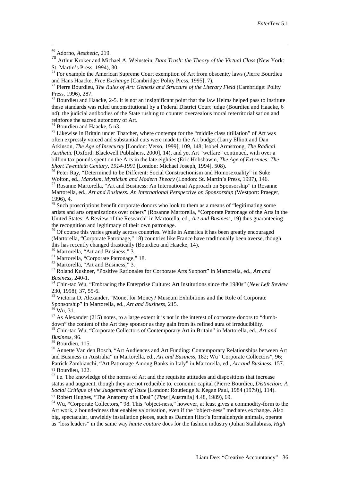<span id="page-23-2"></span>St. Martin's Press, 1994), 30.<br><sup>71</sup> For example the American Supreme Court exemption of Art from obscenity laws (Pierre Bourdieu and Hans Haacke, *Free Exchange* [Cambridge: Polity Press, 1995], 7).

<span id="page-23-3"></span><sup>72</sup> Pierre Bourdieu, *The Rules of Art: Genesis and Structure of the Literary Field* (Cambridge: Polity Press, 1996), 287.

<span id="page-23-4"></span> $^{73}$  Bourdieu and Haacke, 2-5. It is not an insignificant point that the law Helms helped pass to institute these standards was ruled unconstitutional by a Federal District Court judge (Bourdieu and Haacke, 6 n4): the judicial antibodies of the State rushing to counter overzealous moral reterritorialisation and reinforce the sacred autonomy of Art.<br> $74$  Bourdieu and Haacke, 5 n3.

<span id="page-23-5"></span>

<span id="page-23-6"></span> $<sup>75</sup>$  Likewise in Britain under Thatcher, where contempt for the "middle class titillation" of Art was</sup> often expressly voiced and substantial cuts were made to the Art budget (Larry Elliott and Dan Atkinson, *The Age of Insecurity* [London: Verso, 1999], 109, 148; Isobel Armstrong, *The Radical Aesthetic* [Oxford: Blackwell Publishers, 2000], 14), and yet Art "welfare" continued, with over a billion tax pounds spent on the Arts in the late eighties (Eric Hobsbawm, *The Age of Extremes: The* 

<span id="page-23-7"></span><sup>76</sup> Peter Ray, "Determined to be Different: Social Constructionism and Homosexuality" in Suke Wolton, ed., *Marxism, Mysticism and Modern Theory* (London: St. Martin's Press, 1997), 146. 77 Rosanne Martorella, "Art and Business: An International Approach on Sponsorship" in Rosanne

<span id="page-23-8"></span>Martorella, ed., *Art and Business: An International Perspective on Sponsorship* (Westport: Praeger, 1996), 4.

<span id="page-23-9"></span> $78$  Such proscriptions benefit corporate donors who look to them as a means of "legitimating some artists and arts organizations over others" (Rosanne Martorella, "Corporate Patronage of the Arts in the United States: A Review of the Research" in Martorella, ed., *Art and Business*, 19) thus guaranteeing the recognition and legitimacy of their own patronage.

<span id="page-23-10"></span><sup>79</sup> Of course this varies greatly across countries. While in America it has been greatly encouraged (Martorella, "Corporate Patronage," 18) countries like France have traditionally been averse, though this has recently changed drastically (Bourdieu and Haacke, 14). <sup>80</sup> Martorella, "Art and Business," 3.

<span id="page-23-14"></span>

<span id="page-23-13"></span><span id="page-23-12"></span><span id="page-23-11"></span><sup>81</sup> Martorella, "Corporate Patronage," 18.<br><sup>82</sup> Martorella, "Art and Business," 3.<br><sup>83</sup> Roland Kushner, "Positive Rationales for Corporate Arts Support" in Martorella, ed., *Art and Business*, 240-1.

<span id="page-23-15"></span><sup>84</sup> Chin-tao Wu, "Embracing the Enterprise Culture: Art Institutions since the 1980s" (*New Left Review* 230, 1998), 37, 55-6.

<sup>85</sup> Victoria D. Alexander, "Monet for Money? Museum Exhibitions and the Role of Corporate

<span id="page-23-18"></span>

<span id="page-23-17"></span><span id="page-23-16"></span>Sponsorship" in Martorella, ed., *Art and Business*, 215.<br><sup>87</sup> As Alexander (215) notes, to a large extent it is not in the interest of corporate donors to "dumb-<br>down" the content of the Art they sponsor as they gain from

<span id="page-23-19"></span><sup>88</sup> Chin-tao Wu, "Corporate Collectors of Contemporary Art in Britain" in Martorella, ed., *Art and Business*, 96.

<span id="page-23-20"></span><sup>89</sup> Bourdieu, 115.

<span id="page-23-21"></span><sup>90</sup> Annette Van den Bosch, "Art Audiences and Art Funding: Contemporary Relationships between Art and Business in Australia" in Martorella, ed., *Art and Business*, 182; Wu "Corporate Collectors", 96; Patrick Zambianchi, "Art Patronage Among Banks in Italy" in Martorella, ed., *Art and Business*, 157. <sup>91</sup> Bourdieu, 122.

<span id="page-23-23"></span><span id="page-23-22"></span> $92$  i.e. The knowledge of the norms of Art and the requisite attitudes and dispositions that increase status and augment, though they are not reducible to, economic capital (Pierre Bourdieu, *Distinction: A Social Critique of the Judgement of Taste* [London: Routledge & Kegan Paul, 1984 (1979)], 114). <sup>93</sup> Robert Hughes, "The Anatomy of a Deal" (*Time* [Australia] 4.48, 1989), 69.

<span id="page-23-25"></span><span id="page-23-24"></span><sup>94</sup> Wu, "Corporate Collectors," 98. This "object-ness," however, at least gives a commodity-form to the Art work, a boundedness that enables valorisation, even if the "object-ness" mediates exchange. Also big, spectacular, unwieldy installation pieces, such as Damien Hirst's formaldehyde animals, operate as "loss leaders" in the same way *haute couture* does for the fashion industry (Julian Stallabrass, *High* 

<span id="page-23-0"></span><sup>69</sup> Adorno, *Aesthetic*, 219.

<span id="page-23-1"></span><sup>70</sup> Arthur Kroker and Michael A. Weinstein, *Data Trash: the Theory of the Virtual Class* (New York: